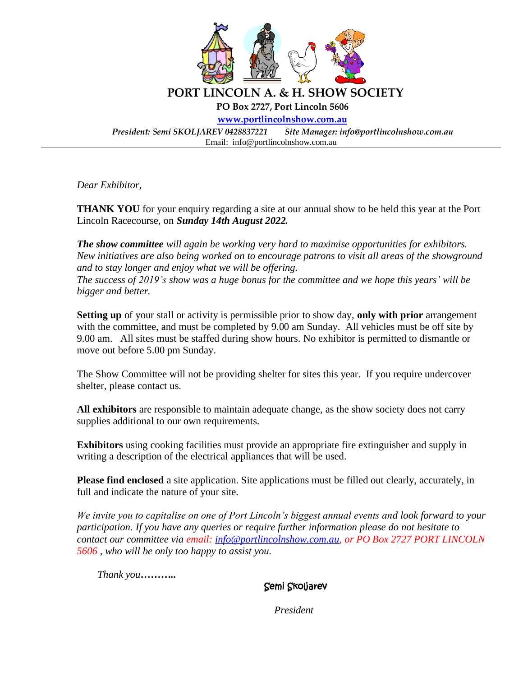

*Dear Exhibitor,*

**THANK YOU** for your enquiry regarding a site at our annual show to be held this year at the Port Lincoln Racecourse, on *Sunday 14th August 2022.*

*The show committee will again be working very hard to maximise opportunities for exhibitors. New initiatives are also being worked on to encourage patrons to visit all areas of the showground and to stay longer and enjoy what we will be offering. The success of 2019's show was a huge bonus for the committee and we hope this years' will be bigger and better.* 

**Setting up** of your stall or activity is permissible prior to show day, **only with prior** arrangement with the committee, and must be completed by 9.00 am Sunday. All vehicles must be off site by 9.00 am. All sites must be staffed during show hours. No exhibitor is permitted to dismantle or move out before 5.00 pm Sunday.

The Show Committee will not be providing shelter for sites this year. If you require undercover shelter, please contact us.

**All exhibitors** are responsible to maintain adequate change, as the show society does not carry supplies additional to our own requirements.

**Exhibitors** using cooking facilities must provide an appropriate fire extinguisher and supply in writing a description of the electrical appliances that will be used.

**Please find enclosed** a site application. Site applications must be filled out clearly, accurately, in full and indicate the nature of your site.

*We invite you to capitalise on one of Port Lincoln's biggest annual events and look forward to your participation. If you have any queries or require further information please do not hesitate to contact our committee via email: [info@portlincolnshow.com.au,](mailto:info@portlincolnshow.com.au) or PO Box 2727 PORT LINCOLN 5606 , who will be only too happy to assist you.*

 *Thank you………..* 

Semi Skoljarev

*President*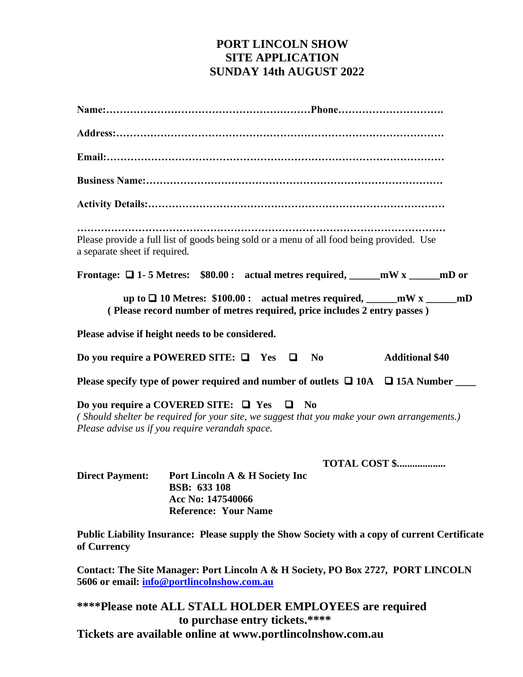## **PORT LINCOLN SHOW SITE APPLICATION SUNDAY 14th AUGUST 2022**

| a separate sheet if required. | Please provide a full list of goods being sold or a menu of all food being provided. Use                                                                                                              |
|-------------------------------|-------------------------------------------------------------------------------------------------------------------------------------------------------------------------------------------------------|
|                               | Frontage: $\Box$ 1-5 Metres: \$80.00: actual metres required, _____mW x _____mD or                                                                                                                    |
|                               | up to $\Box$ 10 Metres: \$100.00 : actual metres required, mW x _____ mD<br>(Please record number of metres required, price includes 2 entry passes)                                                  |
|                               | Please advise if height needs to be considered.                                                                                                                                                       |
|                               | Do you require a POWERED SITE: $\Box$ Yes $\Box$<br><b>Additional \$40</b><br>N <sub>0</sub>                                                                                                          |
|                               | Please specify type of power required and number of outlets $\Box$ 10A $\Box$ 15A Number                                                                                                              |
|                               | Do you require a COVERED SITE: $\Box$ Yes $\Box$ No<br>(Should shelter be required for your site, we suggest that you make your own arrangements.)<br>Please advise us if you require verandah space. |
|                               | <b>TOTAL COST \$</b>                                                                                                                                                                                  |
| <b>Direct Payment:</b>        | Port Lincoln A & H Society Inc<br><b>BSB: 633 108</b><br>Acc No: 147540066<br><b>Reference: Your Name</b>                                                                                             |
| of Currency                   | Public Liability Insurance: Please supply the Show Society with a copy of current Certificate                                                                                                         |
|                               | $\mathbf{r}$ and $\mathbf{r}$<br>$\mathbf{n} \wedge \mathbf{n}$<br>$\bullet$ $\bullet$                                                                                                                |

**Contact: The Site Manager: Port Lincoln A & H Society, PO Box 2727, PORT LINCOLN 5606 or email: [info@portlincolnshow.com.au](mailto:info@portlincolnshow.com.au)**

**\*\*\*\*Please note ALL STALL HOLDER EMPLOYEES are required to purchase entry tickets.\*\*\*\* Tickets are available online at www.portlincolnshow.com.au**